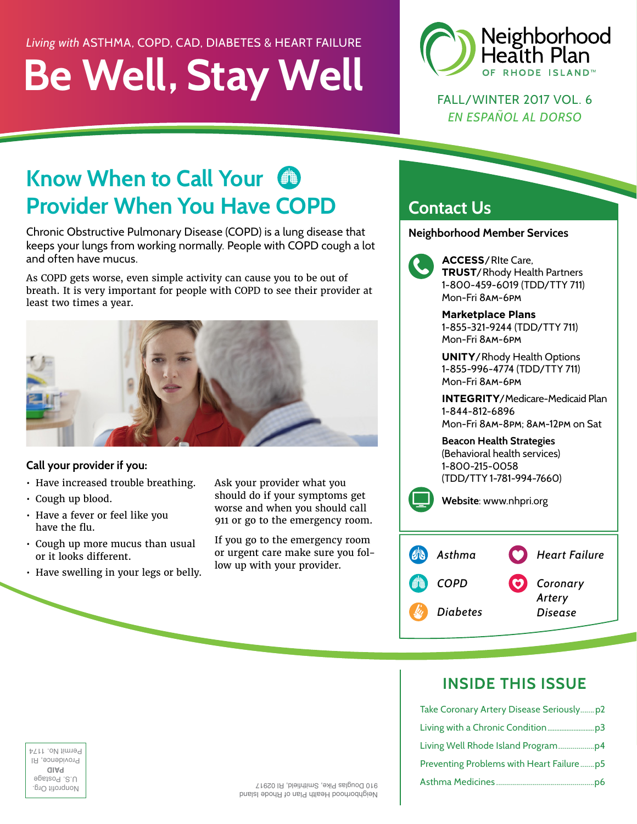### *Living with* ASTHMA, COPD, CAD, DIABETES & HEART FAILURE

# **Be Well, Stay Well**



FALL/WINTER 2017 VOL. 6 *EN ESPAÑOL AL DORSO*

## **Know When to Call Your FROW When to Call Your 49**<br> **Provider When You Have COPD**

Chronic Obstructive Pulmonary Disease (COPD) is a lung disease that keeps your lungs from working normally. People with COPD cough a lot and often have mucus.

As COPD gets worse, even simple activity can cause you to be out of breath. It is very important for people with COPD to see their provider at least two times a year.



#### **Call your provider if you:**

- Have increased trouble breathing.
- Cough up blood.
- Have a fever or feel like you have the flu.
- Cough up more mucus than usual or it looks different.
- Have swelling in your legs or belly.

Ask your provider what you should do if your symptoms get worse and when you should call 911 or go to the emergency room.

If you go to the emergency room or urgent care make sure you follow up with your provider.

### **Contact Us**

**Neighborhood Member Services** 



 **ACCESS**/RIte Care, **TRUST**/Rhody Health Partners 1-800-459-6019 (TDD/TTY 711) Mon-Fri 8am-6pm **140**<br>**140**<br>1-8<br>Mo

**Marketplace Plans** 1-855-321-9244 (TDD/TTY 711) Mon-Fri 8am-6pm

**UNITY**/Rhody Health Options 1-855-996-4774 (TDD/TTY 711) Mon-Fri 8am-6pm

**INTEGRITY**/Medicare-Medicaid Plan 1-844-812-6896 Mon-Fri 8am-8pm; 8am-12pm on Sat

**Beacon Health Strategies** (Behavioral health services) 1-800-215-0058 (TDD/TTY 1-781-994-7660)

**Website**: www.nhpri.org



### **INSIDE THIS ISSUE**

|                                |                                        | Take Coronary Artery Disease Seriously p2 |
|--------------------------------|----------------------------------------|-------------------------------------------|
|                                |                                        |                                           |
| Termit No. 117                 |                                        |                                           |
| Providence, H<br>aiaq          |                                        |                                           |
| U.S. Postage<br>Nonprofit Urg. | 910 Douglas Pike, Smithfield, RI 02917 |                                           |

**PAID** Providence, RI Permit No. 1174 provided and the second of the particle of the second state of the second state of the second state of the second state of the second state of the second state of the second state of the second state of the second state of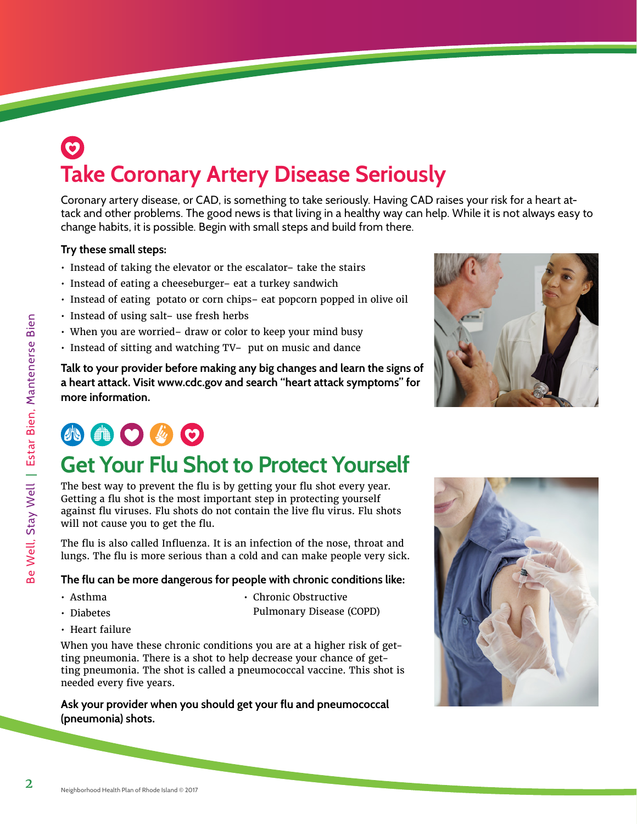### $\odot$ **Take Coronary Artery Disease Seriously**

Coronary artery disease, or CAD, is something to take seriously. Having CAD raises your risk for a heart attack and other problems. The good news is that living in a healthy way can help. While it is not always easy to change habits, it is possible. Begin with small steps and build from there.

#### **Try these small steps:**

- Instead of taking the elevator or the escalator– take the stairs
- Instead of eating a cheeseburger– eat a turkey sandwich
- Instead of eating potato or corn chips– eat popcorn popped in olive oil
- Instead of using salt– use fresh herbs
- When you are worried– draw or color to keep your mind busy
- Instead of sitting and watching TV– put on music and dance

**Talk to your provider before making any big changes and learn the signs of a heart attack. Visit www.cdc.gov and search "heart attack symptoms" for more information.**



## **AOOOO**

### **Get Your Flu Shot to Protect Yourself**

The best way to prevent the flu is by getting your flu shot every year. Getting a flu shot is the most important step in protecting yourself against flu viruses. Flu shots do not contain the live flu virus. Flu shots will not cause you to get the flu.

The flu is also called Influenza. It is an infection of the nose, throat and lungs. The flu is more serious than a cold and can make people very sick.

#### **The flu can be more dangerous for people with chronic conditions like:**

- Asthma
- Diabetes

• Chronic Obstructive Pulmonary Disease (COPD)

• Heart failure

When you have these chronic conditions you are at a higher risk of getting pneumonia. There is a shot to help decrease your chance of getting pneumonia. The shot is called a pneumococcal vaccine. This shot is needed every five years.

#### **Ask your provider when you should get your flu and pneumococcal (pneumonia) shots.**

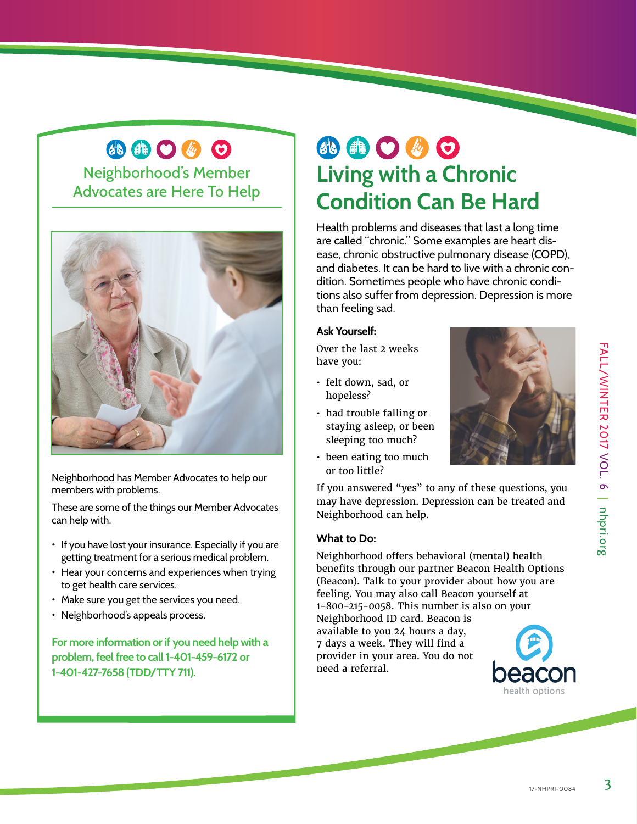## **Condition Can Be Hard** Health problems and diseases that last a long time

are called "chronic." Some examples are heart disease, chronic obstructive pulmonary disease (COPD), and diabetes. It can be hard to live with a chronic condition. Sometimes people who have chronic conditions also suffer from depression. Depression is more than feeling sad.

**Living with a Chronic** 

小曲〇必〇

### **Ask Yourself:**

Over the last 2 weeks have you:

- felt down, sad, or hopeless?
- had trouble falling or staying asleep, or been sleeping too much?
- been eating too much or too little?

If you answered "yes" to any of these questions, you may have depression. Depression can be treated and Neighborhood can help.

#### **What to Do:**

Neighborhood offers behavioral (mental) health benefits through our partner Beacon Health Options (Beacon). Talk to your provider about how you are feeling. You may also call Beacon yourself at 1-800-215-0058. This number is also on your

Neighborhood ID card. Beacon is available to you 24 hours a day, 7 days a week. They will find a provider in your area. You do not need a referral.

### 小曲〇必〇

Neighborhood's Member Advocates are Here To Help



Neighborhood has Member Advocates to help our members with problems.

These are some of the things our Member Advocates can help with.

- If you have lost your insurance. Especially if you are getting treatment for a serious medical problem.
- Hear your concerns and experiences when trying to get health care services.
- Make sure you get the services you need.
- Neighborhood's appeals process.

**For more information or if you need help with a problem, feel free to call 1-401-459-6172 or 1-401-427-7658 (TDD/TTY 711).**

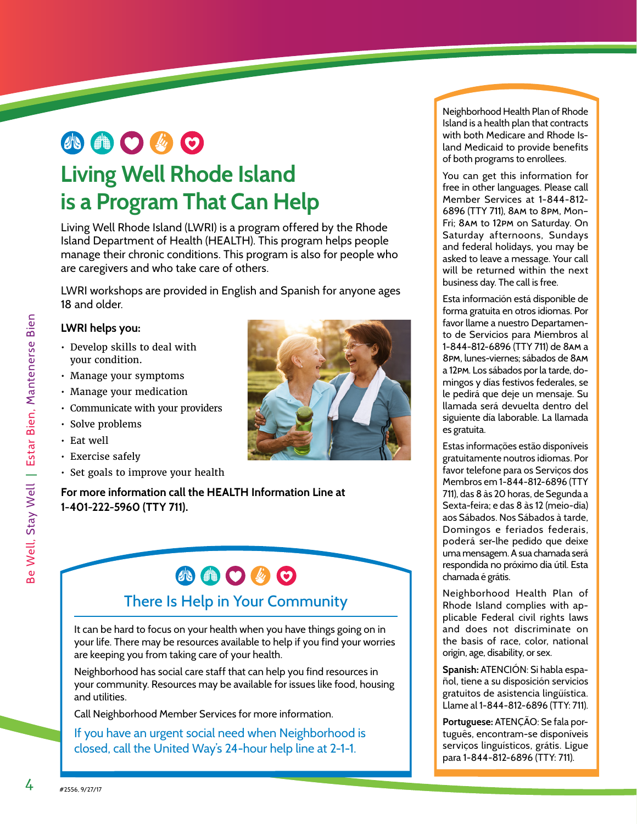### 小曲〇必〇 **Living Well Rhode Island**

### **is a Program That Can Help**

Living Well Rhode Island (LWRI) is a program offered by the Rhode Island Department of Health (HEALTH). This program helps people manage their chronic conditions. This program is also for people who are caregivers and who take care of others.

LWRI workshops are provided in English and Spanish for anyone ages 18 and older.

#### **LWRI helps you:**

- Develop skills to deal with your condition.
- Manage your symptoms
- Manage your medication
- Communicate with your providers
- Solve problems
- Eat well
- Exercise safely
- Set goals to improve your health

**For more information call the HEALTH Information Line at 1-401-222-5960 (TTY 711).** 

## **ABOGO**

### There Is Help in Your Community

It can be hard to focus on your health when you have things going on in your life. There may be resources available to help if you find your worries are keeping you from taking care of your health.

Neighborhood has social care staff that can help you find resources in your community. Resources may be available for issues like food, housing and utilities.

Call Neighborhood Member Services for more information.

If you have an urgent social need when Neighborhood is closed, call the United Way's 24-hour help line at 2-1-1.

Neighborhood Health Plan of Rhode Island is a health plan that contracts with both Medicare and Rhode Island Medicaid to provide benefits of both programs to enrollees.

You can get this information for free in other languages. Please call Member Services at 1-844-812- 6896 (TTY 711), 8am to 8pm, Mon– Fri; 8am to 12pm on Saturday. On Saturday afternoons, Sundays and federal holidays, you may be asked to leave a message. Your call will be returned within the next business day. The call is free.

Esta información está disponible de forma gratuita en otros idiomas. Por favor llame a nuestro Departamento de Servicios para Miembros al 1-844-812-6896 (TTY 711) de 8am a 8pm, lunes-viernes; sábados de 8am a 12pm. Los sábados por la tarde, domingos y días festivos federales, se le pedirá que deje un mensaje. Su llamada será devuelta dentro del siguiente día laborable. La llamada es gratuita.

Estas informações estão disponíveis gratuitamente noutros idiomas. Por favor telefone para os Serviços dos Membros em 1-844-812-6896 (TTY 711), das 8 às 20 horas, de Segunda a Sexta-feira; e das 8 às 12 (meio-dia) aos Sábados. Nos Sábados à tarde, Domingos e feriados federais, poderá ser-lhe pedido que deixe uma mensagem. A sua chamada será respondida no próximo dia útil. Esta chamada é grátis.

Neighborhood Health Plan of Rhode Island complies with applicable Federal civil rights laws and does not discriminate on the basis of race, color, national origin, age, disability, or sex.

**Spanish:** ATENCIÓN: Si habla español, tiene a su disposición servicios gratuitos de asistencia lingüística. Llame al 1-844-812-6896 (TTY: 711).

**Portuguese:** ATENÇÃO: Se fala português, encontram-se disponíveis serviços linguísticos, grátis. Ligue para 1-844-812-6896 (TTY: 711).



4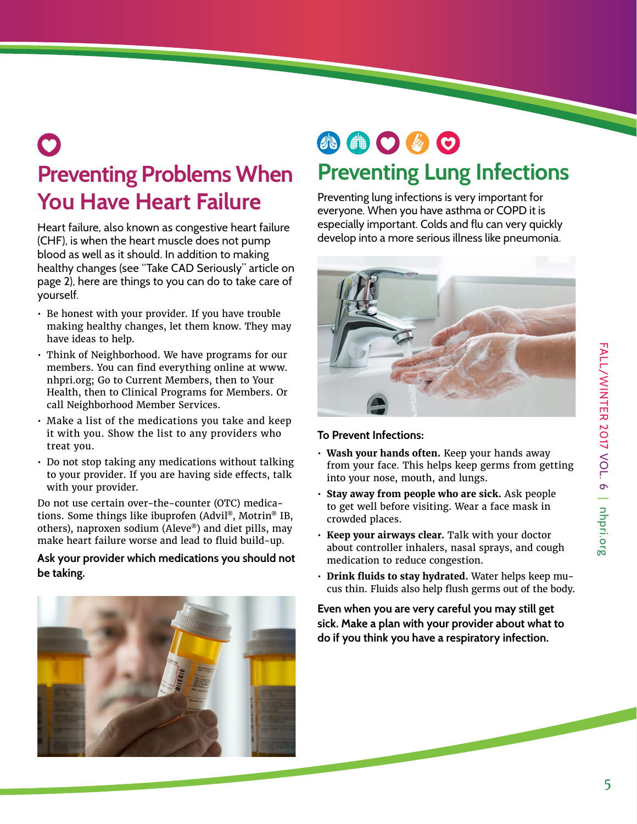### **Preventing Problems When You Have Heart Failure** 0

Heart failure, also known as congestive heart failure (CHF), is when the heart muscle does not pump blood as well as it should. In addition to making healthy changes (see "Take CAD Seriously" article on page 2), here are things to you can do to take care of yourself.

- Be honest with your provider. If you have trouble making healthy changes, let them know. They may have ideas to help.
- Think of Neighborhood. We have programs for our members. You can find everything online at www. nhpri.org; Go to Current Members, then to Your Health, then to Clinical Programs for Members. Or call Neighborhood Member Services.
- Make a list of the medications you take and keep it with you. Show the list to any providers who treat you.
- Do not stop taking any medications without talking to your provider. If you are having side effects, talk with your provider.

Do not use certain over-the-counter (OTC) medications. Some things like ibuprofen (Advil®, Motrin® IB, others), naproxen sodium (Aleve®) and diet pills, may make heart failure worse and lead to fluid build-up.

#### **Ask your provider which medications you should not be taking.**



### 小曲〇岁〇 **Preventing Lung Infections**

Preventing lung infections is very important for everyone. When you have asthma or COPD it is especially important. Colds and flu can very quickly develop into a more serious illness like pneumonia.



#### **To Prevent Infections:**

- **Wash your hands often.** Keep your hands away from your face. This helps keep germs from getting into your nose, mouth, and lungs.
- **Stay away from people who are sick.** Ask people to get well before visiting. Wear a face mask in crowded places.
- **Keep your airways clear.** Talk with your doctor about controller inhalers, nasal sprays, and cough medication to reduce congestion.
- **Drink fluids to stay hydrated.** Water helps keep mucus thin. Fluids also help flush germs out of the body.

**Even when you are very careful you may still get sick. Make a plan with your provider about what to do if you think you have a respiratory infection.**